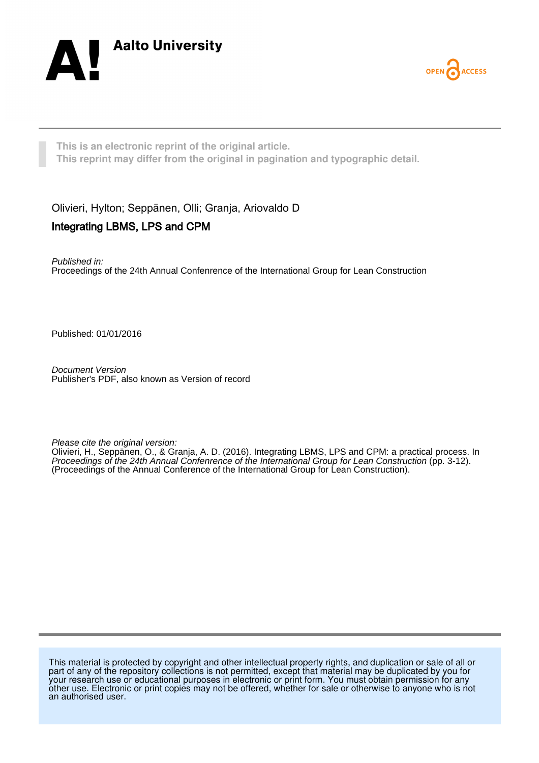



**This is an electronic reprint of the original article. This reprint may differ from the original in pagination and typographic detail.**

Olivieri, Hylton; Seppänen, Olli; Granja, Ariovaldo D Integrating LBMS, LPS and CPM

Published in: Proceedings of the 24th Annual Confenrence of the International Group for Lean Construction

Published: 01/01/2016

Document Version Publisher's PDF, also known as Version of record

Please cite the original version:

Olivieri, H., Seppänen, O., & Granja, A. D. (2016). Integrating LBMS, LPS and CPM: a practical process. In Proceedings of the 24th Annual Confenrence of the International Group for Lean Construction (pp. 3-12). (Proceedings of the Annual Conference of the International Group for Lean Construction).

This material is protected by copyright and other intellectual property rights, and duplication or sale of all or part of any of the repository collections is not permitted, except that material may be duplicated by you for your research use or educational purposes in electronic or print form. You must obtain permission for any other use. Electronic or print copies may not be offered, whether for sale or otherwise to anyone who is not an authorised user.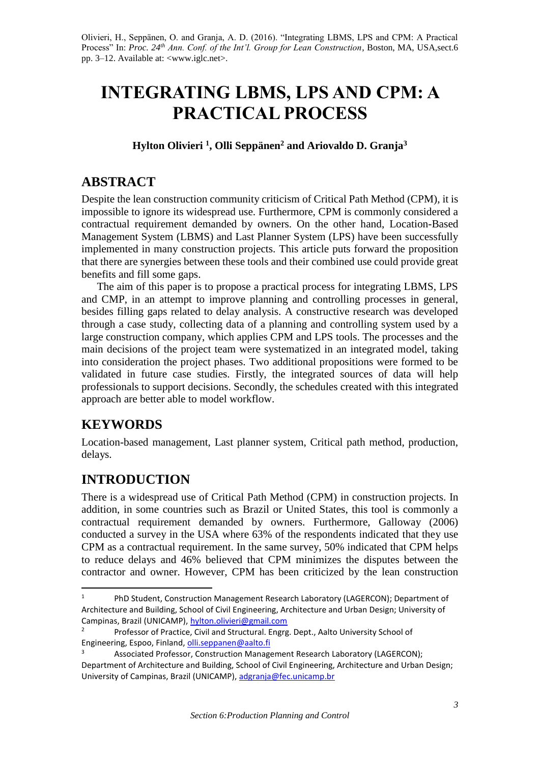Olivieri, H., Seppänen, O. and Granja, A. D. (2016). "Integrating LBMS, LPS and CPM: A Practical Process" In: *Proc. 24th Ann. Conf. of the Int'l. Group for Lean Construction*, Boston, MA, USA,sect.6 pp. 3–12. Available at: <www.iglc.net>.

# **INTEGRATING LBMS, LPS AND CPM: A PRACTICAL PROCESS**

**Hylton Olivieri <sup>1</sup> , Olli Seppänen<sup>2</sup> and Ariovaldo D. Granja<sup>3</sup>** 

# **ABSTRACT**

Despite the lean construction community criticism of Critical Path Method (CPM), it is impossible to ignore its widespread use. Furthermore, CPM is commonly considered a contractual requirement demanded by owners. On the other hand, Location-Based Management System (LBMS) and Last Planner System (LPS) have been successfully implemented in many construction projects. This article puts forward the proposition that there are synergies between these tools and their combined use could provide great benefits and fill some gaps.

The aim of this paper is to propose a practical process for integrating LBMS, LPS and CMP, in an attempt to improve planning and controlling processes in general, besides filling gaps related to delay analysis. A constructive research was developed through a case study, collecting data of a planning and controlling system used by a large construction company, which applies CPM and LPS tools. The processes and the main decisions of the project team were systematized in an integrated model, taking into consideration the project phases. Two additional propositions were formed to be validated in future case studies. Firstly, the integrated sources of data will help professionals to support decisions. Secondly, the schedules created with this integrated approach are better able to model workflow.

# **KEYWORDS**

 $\overline{a}$ 

Location-based management, Last planner system, Critical path method, production, delays.

# **INTRODUCTION**

There is a widespread use of Critical Path Method (CPM) in construction projects. In addition, in some countries such as Brazil or United States, this tool is commonly a contractual requirement demanded by owners. Furthermore, Galloway (2006) conducted a survey in the USA where 63% of the respondents indicated that they use CPM as a contractual requirement. In the same survey, 50% indicated that CPM helps to reduce delays and 46% believed that CPM minimizes the disputes between the contractor and owner. However, CPM has been criticized by the lean construction

<sup>&</sup>lt;sup>1</sup> PhD Student, Construction Management Research Laboratory (LAGERCON); Department of Architecture and Building, School of Civil Engineering, Architecture and Urban Design; University of Campinas, Brazil (UNICAMP), [hylton.olivieri@gmail.com](mailto:hylton.olivieri@gmail.com)

<sup>2</sup> Professor of Practice, Civil and Structural. Engrg. Dept., Aalto University School of Engineering, Espoo, Finland[, olli.seppanen@aalto.fi](mailto:olli.seppanen@aalto.fi)

Associated Professor, Construction Management Research Laboratory (LAGERCON); Department of Architecture and Building, School of Civil Engineering, Architecture and Urban Design; University of Campinas, Brazil (UNICAMP)[, adgranja@fec.unicamp.br](mailto:adgranja@fec.unicamp.br)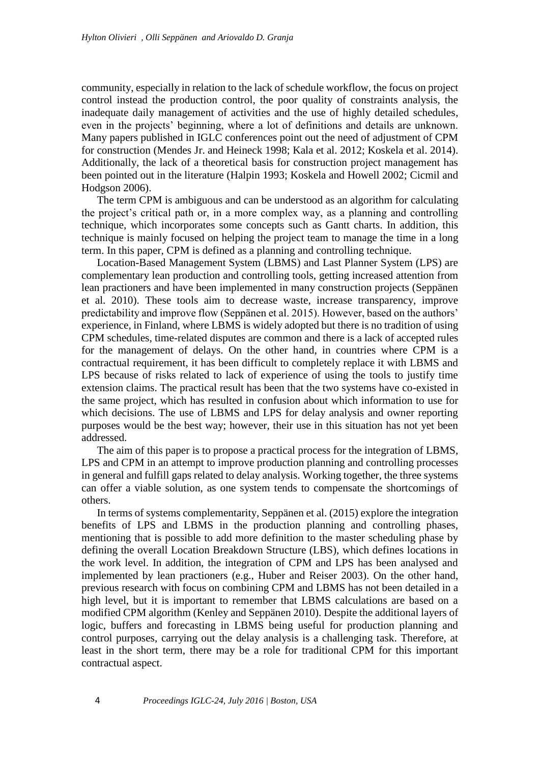community, especially in relation to the lack of schedule workflow, the focus on project control instead the production control, the poor quality of constraints analysis, the inadequate daily management of activities and the use of highly detailed schedules, even in the projects' beginning, where a lot of definitions and details are unknown. Many papers published in IGLC conferences point out the need of adjustment of CPM for construction (Mendes Jr. and Heineck 1998; Kala et al. 2012; Koskela et al. 2014). Additionally, the lack of a theoretical basis for construction project management has been pointed out in the literature (Halpin 1993; Koskela and Howell 2002; Cicmil and Hodgson 2006).

The term CPM is ambiguous and can be understood as an algorithm for calculating the project's critical path or, in a more complex way, as a planning and controlling technique, which incorporates some concepts such as Gantt charts. In addition, this technique is mainly focused on helping the project team to manage the time in a long term. In this paper, CPM is defined as a planning and controlling technique.

Location-Based Management System (LBMS) and Last Planner System (LPS) are complementary lean production and controlling tools, getting increased attention from lean practioners and have been implemented in many construction projects (Seppänen et al. 2010). These tools aim to decrease waste, increase transparency, improve predictability and improve flow (Seppänen et al. 2015). However, based on the authors' experience, in Finland, where LBMS is widely adopted but there is no tradition of using CPM schedules, time-related disputes are common and there is a lack of accepted rules for the management of delays. On the other hand, in countries where CPM is a contractual requirement, it has been difficult to completely replace it with LBMS and LPS because of risks related to lack of experience of using the tools to justify time extension claims. The practical result has been that the two systems have co-existed in the same project, which has resulted in confusion about which information to use for which decisions. The use of LBMS and LPS for delay analysis and owner reporting purposes would be the best way; however, their use in this situation has not yet been addressed.

The aim of this paper is to propose a practical process for the integration of LBMS, LPS and CPM in an attempt to improve production planning and controlling processes in general and fulfill gaps related to delay analysis. Working together, the three systems can offer a viable solution, as one system tends to compensate the shortcomings of others.

In terms of systems complementarity, Seppänen et al. (2015) explore the integration benefits of LPS and LBMS in the production planning and controlling phases, mentioning that is possible to add more definition to the master scheduling phase by defining the overall Location Breakdown Structure (LBS), which defines locations in the work level. In addition, the integration of CPM and LPS has been analysed and implemented by lean practioners (e.g., Huber and Reiser 2003). On the other hand, previous research with focus on combining CPM and LBMS has not been detailed in a high level, but it is important to remember that LBMS calculations are based on a modified CPM algorithm (Kenley and Seppänen 2010). Despite the additional layers of logic, buffers and forecasting in LBMS being useful for production planning and control purposes, carrying out the delay analysis is a challenging task. Therefore, at least in the short term, there may be a role for traditional CPM for this important contractual aspect.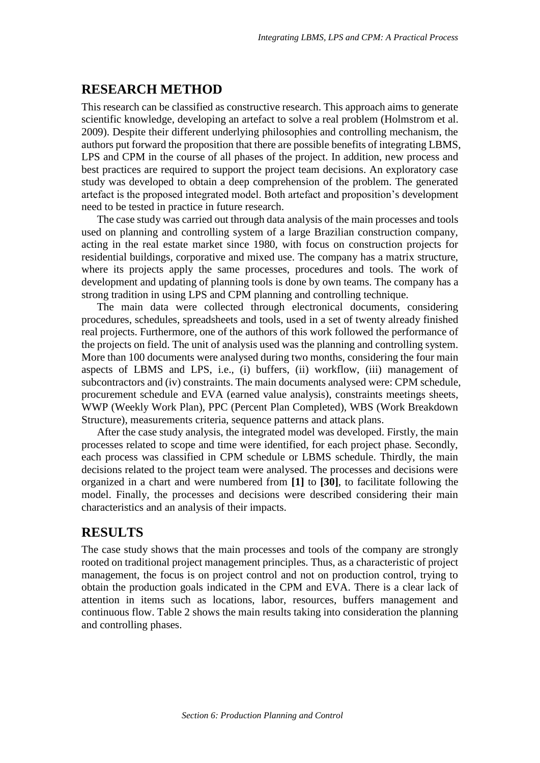# **RESEARCH METHOD**

This research can be classified as constructive research. This approach aims to generate scientific knowledge, developing an artefact to solve a real problem (Holmstrom et al. 2009). Despite their different underlying philosophies and controlling mechanism, the authors put forward the proposition that there are possible benefits of integrating LBMS, LPS and CPM in the course of all phases of the project. In addition, new process and best practices are required to support the project team decisions. An exploratory case study was developed to obtain a deep comprehension of the problem. The generated artefact is the proposed integrated model. Both artefact and proposition's development need to be tested in practice in future research.

The case study was carried out through data analysis of the main processes and tools used on planning and controlling system of a large Brazilian construction company, acting in the real estate market since 1980, with focus on construction projects for residential buildings, corporative and mixed use. The company has a matrix structure, where its projects apply the same processes, procedures and tools. The work of development and updating of planning tools is done by own teams. The company has a strong tradition in using LPS and CPM planning and controlling technique.

The main data were collected through electronical documents, considering procedures, schedules, spreadsheets and tools, used in a set of twenty already finished real projects. Furthermore, one of the authors of this work followed the performance of the projects on field. The unit of analysis used was the planning and controlling system. More than 100 documents were analysed during two months, considering the four main aspects of LBMS and LPS, i.e., (i) buffers, (ii) workflow, (iii) management of subcontractors and (iv) constraints. The main documents analysed were: CPM schedule, procurement schedule and EVA (earned value analysis), constraints meetings sheets, WWP (Weekly Work Plan), PPC (Percent Plan Completed), WBS (Work Breakdown Structure), measurements criteria, sequence patterns and attack plans.

After the case study analysis, the integrated model was developed. Firstly, the main processes related to scope and time were identified, for each project phase. Secondly, each process was classified in CPM schedule or LBMS schedule. Thirdly, the main decisions related to the project team were analysed. The processes and decisions were organized in a chart and were numbered from **[1]** to **[30]**, to facilitate following the model. Finally, the processes and decisions were described considering their main characteristics and an analysis of their impacts.

## **RESULTS**

The case study shows that the main processes and tools of the company are strongly rooted on traditional project management principles. Thus, as a characteristic of project management, the focus is on project control and not on production control, trying to obtain the production goals indicated in the CPM and EVA. There is a clear lack of attention in items such as locations, labor, resources, buffers management and continuous flow. Table 2 shows the main results taking into consideration the planning and controlling phases.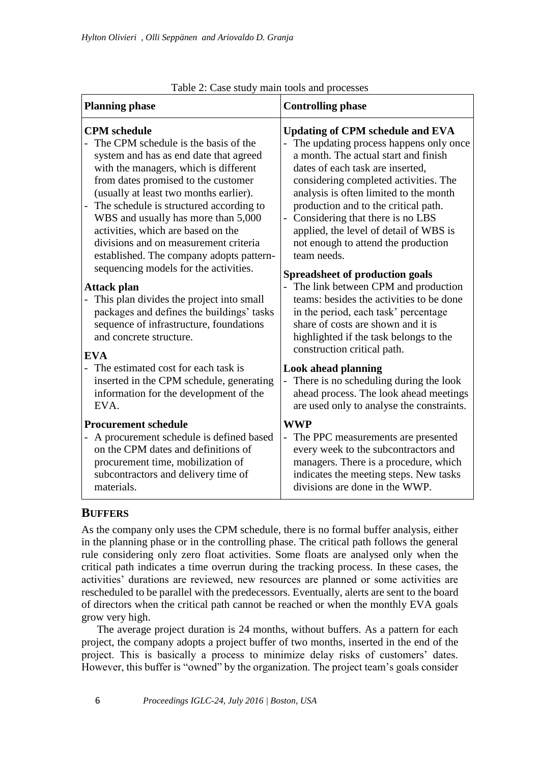| Table 2. Case study main tools and processes                                                                                                                                                                                                                                                                                                                                                                                                                                                                                                                                                                              |                                                                                                                                                                                                                                                                                                                                                                                                                                                                                                                                                                                                         |  |  |
|---------------------------------------------------------------------------------------------------------------------------------------------------------------------------------------------------------------------------------------------------------------------------------------------------------------------------------------------------------------------------------------------------------------------------------------------------------------------------------------------------------------------------------------------------------------------------------------------------------------------------|---------------------------------------------------------------------------------------------------------------------------------------------------------------------------------------------------------------------------------------------------------------------------------------------------------------------------------------------------------------------------------------------------------------------------------------------------------------------------------------------------------------------------------------------------------------------------------------------------------|--|--|
| <b>Planning phase</b>                                                                                                                                                                                                                                                                                                                                                                                                                                                                                                                                                                                                     | <b>Controlling phase</b>                                                                                                                                                                                                                                                                                                                                                                                                                                                                                                                                                                                |  |  |
| <b>CPM</b> schedule<br>The CPM schedule is the basis of the<br>system and has as end date that agreed<br>with the managers, which is different<br>from dates promised to the customer<br>(usually at least two months earlier).<br>The schedule is structured according to<br>$\overline{\phantom{0}}$<br>WBS and usually has more than 5,000<br>activities, which are based on the<br>divisions and on measurement criteria<br>established. The company adopts pattern-<br>sequencing models for the activities.<br>Attack plan<br>This plan divides the project into small<br>packages and defines the buildings' tasks | <b>Updating of CPM schedule and EVA</b><br>- The updating process happens only once<br>a month. The actual start and finish<br>dates of each task are inserted,<br>considering completed activities. The<br>analysis is often limited to the month<br>production and to the critical path.<br>- Considering that there is no LBS<br>applied, the level of detail of WBS is<br>not enough to attend the production<br>team needs.<br><b>Spreadsheet of production goals</b><br>- The link between CPM and production<br>teams: besides the activities to be done<br>in the period, each task' percentage |  |  |
| sequence of infrastructure, foundations<br>and concrete structure.<br>EVA<br>The estimated cost for each task is<br>inserted in the CPM schedule, generating<br>information for the development of the<br>EVA.                                                                                                                                                                                                                                                                                                                                                                                                            | share of costs are shown and it is<br>highlighted if the task belongs to the<br>construction critical path.<br><b>Look ahead planning</b><br>There is no scheduling during the look<br>$\equiv$<br>ahead process. The look ahead meetings<br>are used only to analyse the constraints.                                                                                                                                                                                                                                                                                                                  |  |  |
| <b>Procurement schedule</b><br>A procurement schedule is defined based<br>on the CPM dates and definitions of<br>procurement time, mobilization of<br>subcontractors and delivery time of<br>materials.                                                                                                                                                                                                                                                                                                                                                                                                                   | <b>WWP</b><br>- The PPC measurements are presented<br>every week to the subcontractors and<br>managers. There is a procedure, which<br>indicates the meeting steps. New tasks<br>divisions are done in the WWP.                                                                                                                                                                                                                                                                                                                                                                                         |  |  |

## Table 2: Case study main tools and processes

# **BUFFERS**

As the company only uses the CPM schedule, there is no formal buffer analysis, either in the planning phase or in the controlling phase. The critical path follows the general rule considering only zero float activities. Some floats are analysed only when the critical path indicates a time overrun during the tracking process. In these cases, the activities' durations are reviewed, new resources are planned or some activities are rescheduled to be parallel with the predecessors. Eventually, alerts are sent to the board of directors when the critical path cannot be reached or when the monthly EVA goals grow very high.

The average project duration is 24 months, without buffers. As a pattern for each project, the company adopts a project buffer of two months, inserted in the end of the project. This is basically a process to minimize delay risks of customers' dates. However, this buffer is "owned" by the organization. The project team's goals consider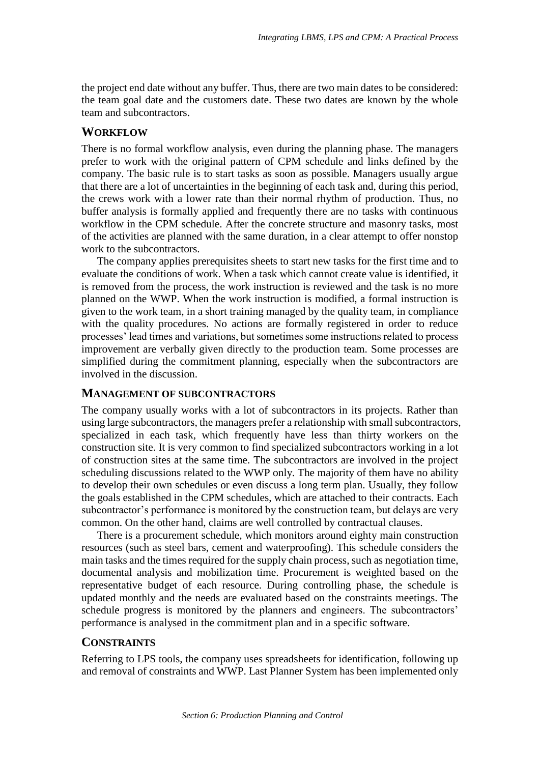the project end date without any buffer. Thus, there are two main dates to be considered: the team goal date and the customers date. These two dates are known by the whole team and subcontractors.

#### **WORKFLOW**

There is no formal workflow analysis, even during the planning phase. The managers prefer to work with the original pattern of CPM schedule and links defined by the company. The basic rule is to start tasks as soon as possible. Managers usually argue that there are a lot of uncertainties in the beginning of each task and, during this period, the crews work with a lower rate than their normal rhythm of production. Thus, no buffer analysis is formally applied and frequently there are no tasks with continuous workflow in the CPM schedule. After the concrete structure and masonry tasks, most of the activities are planned with the same duration, in a clear attempt to offer nonstop work to the subcontractors.

The company applies prerequisites sheets to start new tasks for the first time and to evaluate the conditions of work. When a task which cannot create value is identified, it is removed from the process, the work instruction is reviewed and the task is no more planned on the WWP. When the work instruction is modified, a formal instruction is given to the work team, in a short training managed by the quality team, in compliance with the quality procedures. No actions are formally registered in order to reduce processes' lead times and variations, but sometimes some instructions related to process improvement are verbally given directly to the production team. Some processes are simplified during the commitment planning, especially when the subcontractors are involved in the discussion.

#### **MANAGEMENT OF SUBCONTRACTORS**

The company usually works with a lot of subcontractors in its projects. Rather than using large subcontractors, the managers prefer a relationship with small subcontractors, specialized in each task, which frequently have less than thirty workers on the construction site. It is very common to find specialized subcontractors working in a lot of construction sites at the same time. The subcontractors are involved in the project scheduling discussions related to the WWP only. The majority of them have no ability to develop their own schedules or even discuss a long term plan. Usually, they follow the goals established in the CPM schedules, which are attached to their contracts. Each subcontractor's performance is monitored by the construction team, but delays are very common. On the other hand, claims are well controlled by contractual clauses.

There is a procurement schedule, which monitors around eighty main construction resources (such as steel bars, cement and waterproofing). This schedule considers the main tasks and the times required for the supply chain process, such as negotiation time, documental analysis and mobilization time. Procurement is weighted based on the representative budget of each resource. During controlling phase, the schedule is updated monthly and the needs are evaluated based on the constraints meetings. The schedule progress is monitored by the planners and engineers. The subcontractors' performance is analysed in the commitment plan and in a specific software.

## **CONSTRAINTS**

Referring to LPS tools, the company uses spreadsheets for identification, following up and removal of constraints and WWP. Last Planner System has been implemented only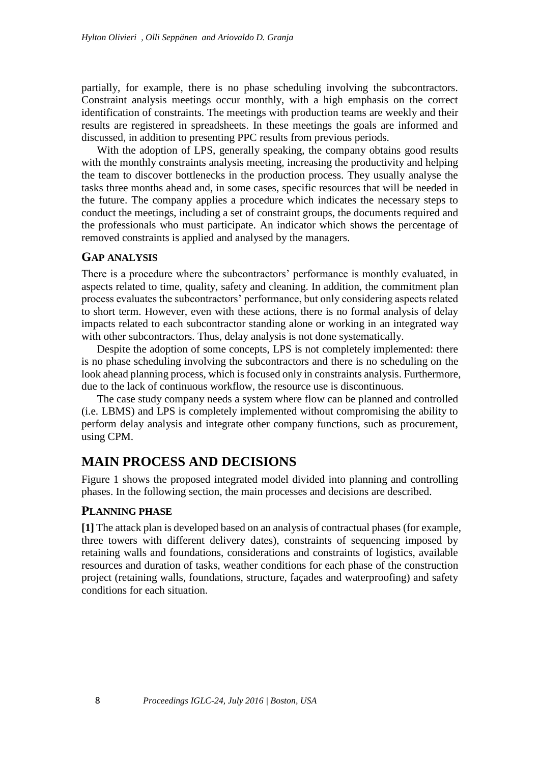partially, for example, there is no phase scheduling involving the subcontractors. Constraint analysis meetings occur monthly, with a high emphasis on the correct identification of constraints. The meetings with production teams are weekly and their results are registered in spreadsheets. In these meetings the goals are informed and discussed, in addition to presenting PPC results from previous periods.

With the adoption of LPS, generally speaking, the company obtains good results with the monthly constraints analysis meeting, increasing the productivity and helping the team to discover bottlenecks in the production process. They usually analyse the tasks three months ahead and, in some cases, specific resources that will be needed in the future. The company applies a procedure which indicates the necessary steps to conduct the meetings, including a set of constraint groups, the documents required and the professionals who must participate. An indicator which shows the percentage of removed constraints is applied and analysed by the managers.

#### **GAP ANALYSIS**

There is a procedure where the subcontractors' performance is monthly evaluated, in aspects related to time, quality, safety and cleaning. In addition, the commitment plan process evaluates the subcontractors' performance, but only considering aspects related to short term. However, even with these actions, there is no formal analysis of delay impacts related to each subcontractor standing alone or working in an integrated way with other subcontractors. Thus, delay analysis is not done systematically.

Despite the adoption of some concepts, LPS is not completely implemented: there is no phase scheduling involving the subcontractors and there is no scheduling on the look ahead planning process, which is focused only in constraints analysis. Furthermore, due to the lack of continuous workflow, the resource use is discontinuous.

The case study company needs a system where flow can be planned and controlled (i.e. LBMS) and LPS is completely implemented without compromising the ability to perform delay analysis and integrate other company functions, such as procurement, using CPM.

# **MAIN PROCESS AND DECISIONS**

Figure 1 shows the proposed integrated model divided into planning and controlling phases. In the following section, the main processes and decisions are described.

#### **PLANNING PHASE**

**[1]** The attack plan is developed based on an analysis of contractual phases (for example, three towers with different delivery dates), constraints of sequencing imposed by retaining walls and foundations, considerations and constraints of logistics, available resources and duration of tasks, weather conditions for each phase of the construction project (retaining walls, foundations, structure, façades and waterproofing) and safety conditions for each situation.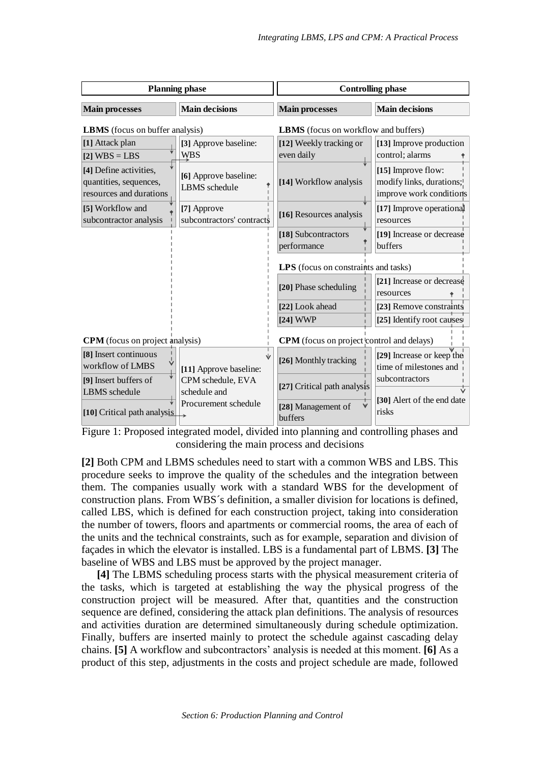| <b>Planning phase</b>                                                       |                                          | <b>Controlling phase</b>                         |                                                                           |
|-----------------------------------------------------------------------------|------------------------------------------|--------------------------------------------------|---------------------------------------------------------------------------|
| <b>Main processes</b>                                                       | <b>Main decisions</b>                    | <b>Main processes</b>                            | <b>Main decisions</b>                                                     |
| <b>LBMS</b> (focus on buffer analysis)                                      |                                          | <b>LBMS</b> (focus on workflow and buffers)      |                                                                           |
| [1] Attack plan<br>$[2] WBS = LBS$                                          | [3] Approve baseline:<br><b>WBS</b>      | [12] Weekly tracking or<br>even daily            | [13] Improve production<br>control; alarms                                |
| [4] Define activities,<br>quantities, sequences,<br>resources and durations | [6] Approve baseline:<br>LBMS schedule   | [14] Workflow analysis                           | [15] Improve flow:<br>modify links, durations;<br>improve work conditions |
| [5] Workflow and<br>subcontractor analysis                                  | [7] Approve<br>subcontractors' contracts | [16] Resources analysis                          | [17] Improve operational<br>resources                                     |
|                                                                             |                                          | [18] Subcontractors<br>performance               | [19] Increase or decrease<br>buffers                                      |
|                                                                             |                                          | LPS (focus on constraints and tasks)             |                                                                           |
|                                                                             |                                          | [20] Phase scheduling                            | [21] Increase or decrease<br>resources                                    |
|                                                                             |                                          | [22] Look ahead                                  | [23] Remove constraints                                                   |
|                                                                             |                                          | $[24]$ WWP                                       | [25] Identify root causes                                                 |
| <b>CPM</b> (focus on project analysis)                                      |                                          | <b>CPM</b> (focus on project control and delays) |                                                                           |
| [8] Insert continuous<br>workflow of LMBS                                   | [11] Approve baseline:                   | [26] Monthly tracking                            | [29] Increase or keep the<br>time of milestones and                       |
| [9] Insert buffers of<br>LBMS schedule                                      | CPM schedule, EVA<br>schedule and        | [27] Critical path analysis                      | subcontractors                                                            |
| [10] Critical path analysis                                                 | Procurement schedule                     | [28] Management of<br>buffers                    | [30] Alert of the end date<br>risks                                       |

Figure 1: Proposed integrated model, divided into planning and controlling phases and considering the main process and decisions

**[2]** Both CPM and LBMS schedules need to start with a common WBS and LBS. This procedure seeks to improve the quality of the schedules and the integration between them. The companies usually work with a standard WBS for the development of construction plans. From WBS´s definition, a smaller division for locations is defined, called LBS, which is defined for each construction project, taking into consideration the number of towers, floors and apartments or commercial rooms, the area of each of the units and the technical constraints, such as for example, separation and division of façades in which the elevator is installed. LBS is a fundamental part of LBMS. **[3]** The baseline of WBS and LBS must be approved by the project manager.

**[4]** The LBMS scheduling process starts with the physical measurement criteria of the tasks, which is targeted at establishing the way the physical progress of the construction project will be measured. After that, quantities and the construction sequence are defined, considering the attack plan definitions. The analysis of resources and activities duration are determined simultaneously during schedule optimization. Finally, buffers are inserted mainly to protect the schedule against cascading delay chains. **[5]** A workflow and subcontractors' analysis is needed at this moment. **[6]** As a product of this step, adjustments in the costs and project schedule are made, followed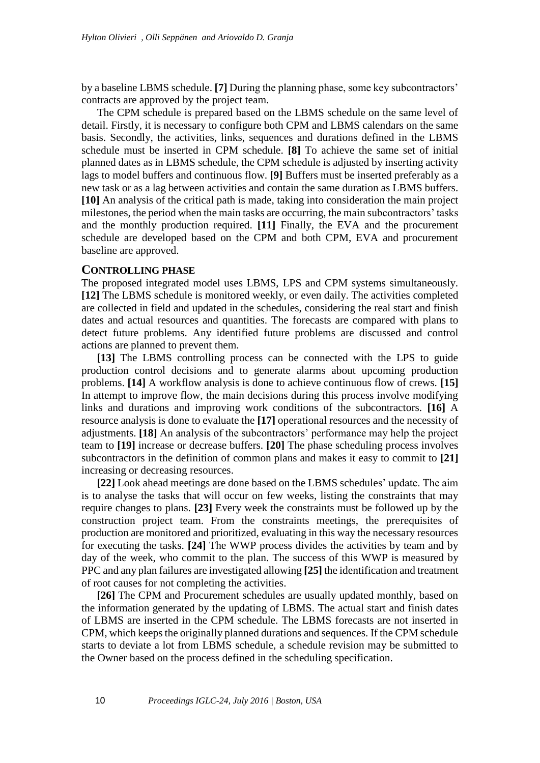by a baseline LBMS schedule. **[7]** During the planning phase, some key subcontractors' contracts are approved by the project team.

The CPM schedule is prepared based on the LBMS schedule on the same level of detail. Firstly, it is necessary to configure both CPM and LBMS calendars on the same basis. Secondly, the activities, links, sequences and durations defined in the LBMS schedule must be inserted in CPM schedule. **[8]** To achieve the same set of initial planned dates as in LBMS schedule, the CPM schedule is adjusted by inserting activity lags to model buffers and continuous flow. **[9]** Buffers must be inserted preferably as a new task or as a lag between activities and contain the same duration as LBMS buffers. **[10]** An analysis of the critical path is made, taking into consideration the main project milestones, the period when the main tasks are occurring, the main subcontractors' tasks and the monthly production required. **[11]** Finally, the EVA and the procurement schedule are developed based on the CPM and both CPM, EVA and procurement baseline are approved.

#### **CONTROLLING PHASE**

The proposed integrated model uses LBMS, LPS and CPM systems simultaneously. **[12]** The LBMS schedule is monitored weekly, or even daily. The activities completed are collected in field and updated in the schedules, considering the real start and finish dates and actual resources and quantities. The forecasts are compared with plans to detect future problems. Any identified future problems are discussed and control actions are planned to prevent them.

**[13]** The LBMS controlling process can be connected with the LPS to guide production control decisions and to generate alarms about upcoming production problems. **[14]** A workflow analysis is done to achieve continuous flow of crews. **[15]** In attempt to improve flow, the main decisions during this process involve modifying links and durations and improving work conditions of the subcontractors. **[16]** A resource analysis is done to evaluate the **[17]** operational resources and the necessity of adjustments. **[18]** An analysis of the subcontractors' performance may help the project team to **[19]** increase or decrease buffers. **[20]** The phase scheduling process involves subcontractors in the definition of common plans and makes it easy to commit to **[21]** increasing or decreasing resources.

**[22]** Look ahead meetings are done based on the LBMS schedules' update. The aim is to analyse the tasks that will occur on few weeks, listing the constraints that may require changes to plans. **[23]** Every week the constraints must be followed up by the construction project team. From the constraints meetings, the prerequisites of production are monitored and prioritized, evaluating in this way the necessary resources for executing the tasks. **[24]** The WWP process divides the activities by team and by day of the week, who commit to the plan. The success of this WWP is measured by PPC and any plan failures are investigated allowing **[25]** the identification and treatment of root causes for not completing the activities.

**[26]** The CPM and Procurement schedules are usually updated monthly, based on the information generated by the updating of LBMS. The actual start and finish dates of LBMS are inserted in the CPM schedule. The LBMS forecasts are not inserted in CPM, which keeps the originally planned durations and sequences. If the CPM schedule starts to deviate a lot from LBMS schedule, a schedule revision may be submitted to the Owner based on the process defined in the scheduling specification.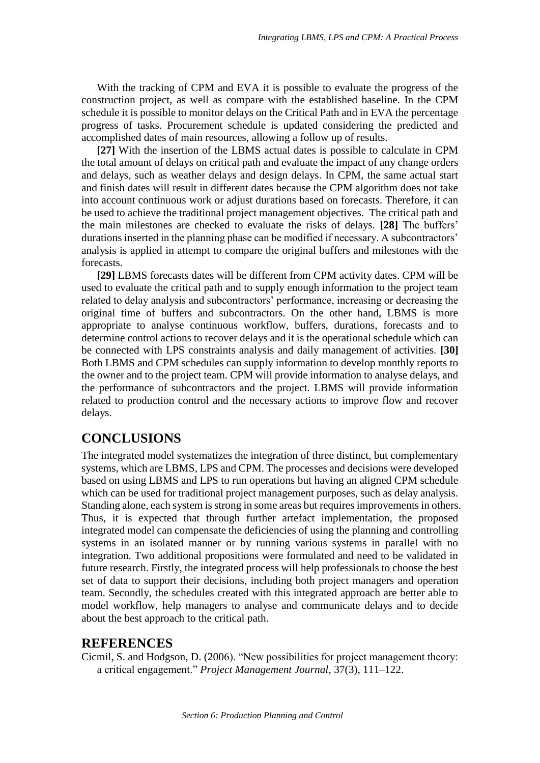With the tracking of CPM and EVA it is possible to evaluate the progress of the construction project, as well as compare with the established baseline. In the CPM schedule it is possible to monitor delays on the Critical Path and in EVA the percentage progress of tasks. Procurement schedule is updated considering the predicted and accomplished dates of main resources, allowing a follow up of results.

**[27]** With the insertion of the LBMS actual dates is possible to calculate in CPM the total amount of delays on critical path and evaluate the impact of any change orders and delays, such as weather delays and design delays. In CPM, the same actual start and finish dates will result in different dates because the CPM algorithm does not take into account continuous work or adjust durations based on forecasts. Therefore, it can be used to achieve the traditional project management objectives. The critical path and the main milestones are checked to evaluate the risks of delays. **[28]** The buffers' durations inserted in the planning phase can be modified if necessary. A subcontractors' analysis is applied in attempt to compare the original buffers and milestones with the forecasts.

**[29]** LBMS forecasts dates will be different from CPM activity dates. CPM will be used to evaluate the critical path and to supply enough information to the project team related to delay analysis and subcontractors' performance, increasing or decreasing the original time of buffers and subcontractors. On the other hand, LBMS is more appropriate to analyse continuous workflow, buffers, durations, forecasts and to determine control actions to recover delays and it is the operational schedule which can be connected with LPS constraints analysis and daily management of activities. **[30]** Both LBMS and CPM schedules can supply information to develop monthly reports to the owner and to the project team. CPM will provide information to analyse delays, and the performance of subcontractors and the project. LBMS will provide information related to production control and the necessary actions to improve flow and recover delays.

## **CONCLUSIONS**

The integrated model systematizes the integration of three distinct, but complementary systems, which are LBMS, LPS and CPM. The processes and decisions were developed based on using LBMS and LPS to run operations but having an aligned CPM schedule which can be used for traditional project management purposes, such as delay analysis. Standing alone, each system is strong in some areas but requires improvements in others. Thus, it is expected that through further artefact implementation, the proposed integrated model can compensate the deficiencies of using the planning and controlling systems in an isolated manner or by running various systems in parallel with no integration. Two additional propositions were formulated and need to be validated in future research. Firstly, the integrated process will help professionals to choose the best set of data to support their decisions, including both project managers and operation team. Secondly, the schedules created with this integrated approach are better able to model workflow, help managers to analyse and communicate delays and to decide about the best approach to the critical path.

## **REFERENCES**

Cicmil, S. and Hodgson, D. (2006). "New possibilities for project management theory: a critical engagement." *Project Management Journal*, 37(3), 111–122.